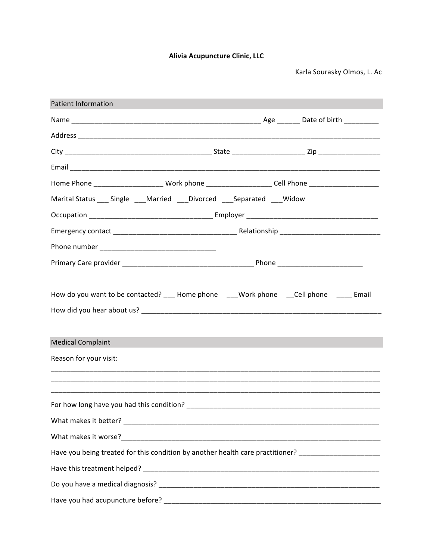Alivia Acupuncture Clinic, LLC

Karla Sourasky Olmos, L. Ac

| <b>Patient Information</b>                                                                                              |  |  |
|-------------------------------------------------------------------------------------------------------------------------|--|--|
|                                                                                                                         |  |  |
|                                                                                                                         |  |  |
|                                                                                                                         |  |  |
|                                                                                                                         |  |  |
| Home Phone __________________________Work phone ______________________Cell Phone ________________________               |  |  |
| Marital Status ___ Single ___ Married ___ Divorced ___ Separated ___ Widow                                              |  |  |
|                                                                                                                         |  |  |
|                                                                                                                         |  |  |
|                                                                                                                         |  |  |
|                                                                                                                         |  |  |
| How do you want to be contacted? ____ Home phone ____Work phone ____Cell phone ______ Email<br><b>Medical Complaint</b> |  |  |
| Reason for your visit:                                                                                                  |  |  |
|                                                                                                                         |  |  |
|                                                                                                                         |  |  |
|                                                                                                                         |  |  |
|                                                                                                                         |  |  |
| Have you being treated for this condition by another health care practitioner? _____________________                    |  |  |
|                                                                                                                         |  |  |
|                                                                                                                         |  |  |
|                                                                                                                         |  |  |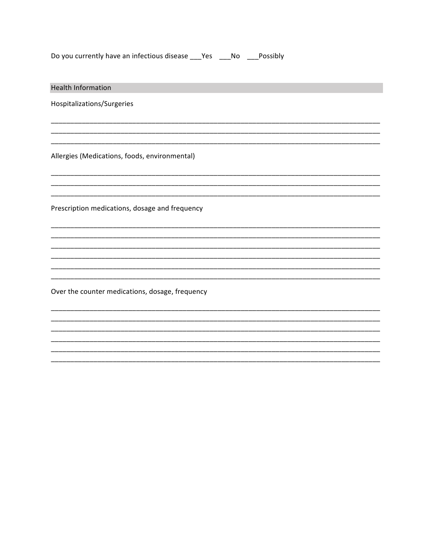| Do you currently have an infectious disease |  | Yes | No. | Possibly |
|---------------------------------------------|--|-----|-----|----------|
|                                             |  |     |     |          |

| <b>Health Information</b>                       |
|-------------------------------------------------|
| Hospitalizations/Surgeries                      |
|                                                 |
| Allergies (Medications, foods, environmental)   |
|                                                 |
| Prescription medications, dosage and frequency  |
|                                                 |
|                                                 |
|                                                 |
| Over the counter medications, dosage, frequency |
|                                                 |
|                                                 |
|                                                 |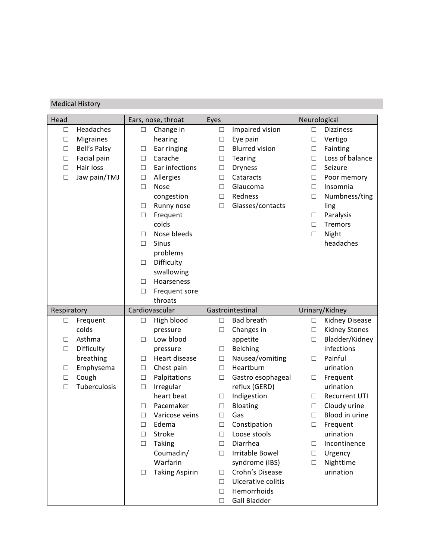## **Medical History**

| Head        |                  |        | Ears, nose, throat    | Eyes   |                             | Neurological |                      |
|-------------|------------------|--------|-----------------------|--------|-----------------------------|--------------|----------------------|
| □           | Headaches        | □      | Change in             | $\Box$ | Impaired vision             | $\Box$       | <b>Dizziness</b>     |
| $\Box$      | <b>Migraines</b> |        | hearing               | $\Box$ | Eye pain                    | $\Box$       | Vertigo              |
| $\Box$      | Bell's Palsy     | □      | Ear ringing           | $\Box$ | <b>Blurred vision</b>       | $\Box$       | Fainting             |
| $\Box$      | Facial pain      | $\Box$ | Earache               | $\Box$ | Tearing                     | $\Box$       | Loss of balance      |
| $\Box$      | Hair loss        | □      | Ear infections        | $\Box$ | <b>Dryness</b>              | $\Box$       | Seizure              |
| $\Box$      | Jaw pain/TMJ     | $\Box$ | Allergies             | $\Box$ | Cataracts                   | $\Box$       | Poor memory          |
|             |                  | $\Box$ | Nose                  | $\Box$ | Glaucoma                    | $\Box$       | Insomnia             |
|             |                  |        | congestion            | $\Box$ | Redness                     | $\Box$       | Numbness/ting        |
|             |                  | □      | Runny nose            | $\Box$ | Glasses/contacts            |              | ling                 |
|             |                  | $\Box$ | Frequent              |        |                             | $\Box$       | Paralysis            |
|             |                  |        | colds                 |        |                             | $\Box$       | Tremors              |
|             |                  | $\Box$ | Nose bleeds           |        |                             | $\Box$       | Night                |
|             |                  | $\Box$ | <b>Sinus</b>          |        |                             |              | headaches            |
|             |                  |        | problems              |        |                             |              |                      |
|             |                  | $\Box$ | Difficulty            |        |                             |              |                      |
|             |                  |        | swallowing            |        |                             |              |                      |
|             |                  | $\Box$ | Hoarseness            |        |                             |              |                      |
|             |                  | $\Box$ | Frequent sore         |        |                             |              |                      |
|             |                  |        | throats               |        |                             |              |                      |
|             |                  |        |                       |        |                             |              |                      |
| Respiratory |                  |        | Cardiovascular        |        | Gastrointestinal            |              | Urinary/Kidney       |
| □           | Frequent         | □      | High blood            | $\Box$ | <b>Bad breath</b>           | $\Box$       | Kidney Disease       |
|             | colds            |        | pressure              | $\Box$ | Changes in                  | $\Box$       | Kidney Stones        |
| $\Box$      | Asthma           | $\Box$ | Low blood             |        | appetite                    | $\Box$       | Bladder/Kidney       |
| $\Box$      | Difficulty       |        | pressure              | $\Box$ | Belching                    |              | infections           |
|             | breathing        | □      | Heart disease         | $\Box$ | Nausea/vomiting             | □            | Painful              |
| □           | Emphysema        | $\Box$ | Chest pain            | $\Box$ | Heartburn                   |              | urination            |
| $\Box$      | Cough            | $\Box$ | Palpitations          | $\Box$ | Gastro esophageal           | $\Box$       | Frequent             |
| $\Box$      | Tuberculosis     | $\Box$ | Irregular             |        | reflux (GERD)               |              | urination            |
|             |                  |        | heart beat            | □      | Indigestion                 | $\Box$       | <b>Recurrent UTI</b> |
|             |                  | □      | Pacemaker             | $\Box$ | Bloating                    | $\Box$       | Cloudy urine         |
|             |                  | $\Box$ | Varicose veins        | П      | Gas                         | $\Box$       | Blood in urine       |
|             |                  | $\Box$ | Edema                 | $\Box$ | Constipation                | $\Box$       | Frequent             |
|             |                  | □      | Stroke                | □      | Loose stools                |              | urination            |
|             |                  | Ш      | <b>Taking</b>         | $\Box$ | Diarrhea                    | □            | Incontinence         |
|             |                  |        | Coumadin/             | □      | Irritable Bowel             | $\Box$       | Urgency              |
|             |                  |        | Warfarin              |        | syndrome (IBS)              | □            | Nighttime            |
|             |                  | □      | <b>Taking Aspirin</b> | $\Box$ | Crohn's Disease             |              | urination            |
|             |                  |        |                       | $\Box$ | Ulcerative colitis          |              |                      |
|             |                  |        |                       | $\Box$ | Hemorrhoids<br>Gall Bladder |              |                      |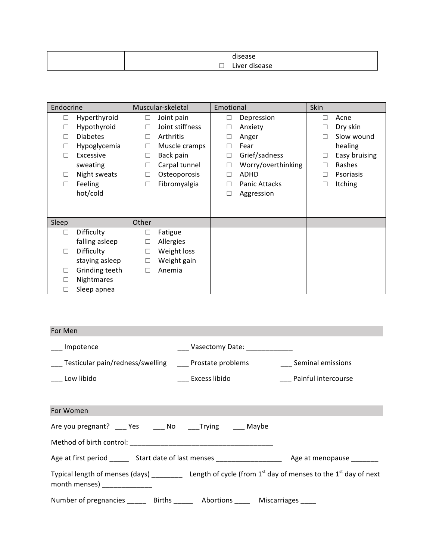| $\cdots$<br>disease                                                      |  |
|--------------------------------------------------------------------------|--|
| $\overline{\phantom{0}}$<br>Liver<br>disease<br>$\overline{\phantom{0}}$ |  |

| Endocrine |                 |        | Muscular-skeletal | Emotional |                      | Skin |               |
|-----------|-----------------|--------|-------------------|-----------|----------------------|------|---------------|
| $\Box$    | Hyperthyroid    | □      | Joint pain        | $\Box$    | Depression           |      | Acne          |
| □         | Hypothyroid     | $\Box$ | Joint stiffness   | □         | Anxiety              |      | Dry skin      |
| П         | <b>Diabetes</b> | $\Box$ | Arthritis         | □         | Anger                |      | Slow wound    |
| □         | Hypoglycemia    | $\Box$ | Muscle cramps     |           | Fear                 |      | healing       |
| П         | Excessive       | $\Box$ | Back pain         | П         | Grief/sadness        |      | Easy bruising |
|           | sweating        | $\Box$ | Carpal tunnel     | $\Box$    | Worry/overthinking   |      | Rashes        |
| □         | Night sweats    | $\Box$ | Osteoporosis      | □         | <b>ADHD</b>          |      | Psoriasis     |
| □         | Feeling         | $\Box$ | Fibromyalgia      | П         | <b>Panic Attacks</b> |      | Itching       |
|           | hot/cold        |        |                   | □         | Aggression           |      |               |
|           |                 |        |                   |           |                      |      |               |
|           |                 |        |                   |           |                      |      |               |
| Sleep     |                 | Other  |                   |           |                      |      |               |
| $\Box$    | Difficulty      | $\Box$ | Fatigue           |           |                      |      |               |
|           | falling asleep  | □      | Allergies         |           |                      |      |               |
| □         | Difficulty      | $\Box$ | Weight loss       |           |                      |      |               |
|           | staying asleep  | $\Box$ | Weight gain       |           |                      |      |               |
| □         | Grinding teeth  | П      | Anemia            |           |                      |      |               |
| □         | Nightmares      |        |                   |           |                      |      |               |
| □         | Sleep apnea     |        |                   |           |                      |      |               |

| For Men                                                                                                                                                |                                   |                     |
|--------------------------------------------------------------------------------------------------------------------------------------------------------|-----------------------------------|---------------------|
| __ Impotence                                                                                                                                           | ____ Vasectomy Date: ____________ |                     |
| ___ Testicular pain/redness/swelling ____ Prostate problems ____ ___ Seminal emissions                                                                 |                                   |                     |
| ___ Low libido                                                                                                                                         | Excess libido                     | Painful intercourse |
|                                                                                                                                                        |                                   |                     |
| For Women                                                                                                                                              |                                   |                     |
| Are you pregnant? ___ Yes ____ No ____Trying ____ Maybe                                                                                                |                                   |                     |
| Method of birth control: Network and Separate and Separate and Separate and Separate and Separate and Separate A                                       |                                   |                     |
|                                                                                                                                                        |                                   |                     |
| Typical length of menses (days) ___________ Length of cycle (from $1^{st}$ day of menses to the $1^{st}$ day of next<br>month menses) <b>contained</b> |                                   |                     |
| Number of pregnancies _______ Births ______ Abortions _____ Miscarriages                                                                               |                                   |                     |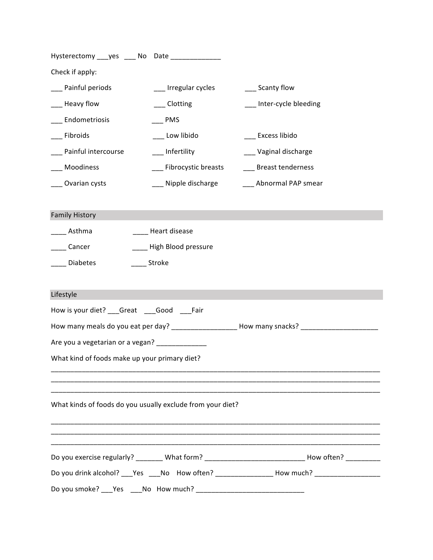| Hysterectomy ___ yes ____ No Date ______________           |                         |                                                                                                      |
|------------------------------------------------------------|-------------------------|------------------------------------------------------------------------------------------------------|
| Check if apply:                                            |                         |                                                                                                      |
| Painful periods                                            | __ Irregular cycles     | __ Scanty flow                                                                                       |
| Heavy flow                                                 | Clotting                | Inter-cycle bleeding                                                                                 |
| Endometriosis                                              | <b>PMS</b>              |                                                                                                      |
| Fibroids                                                   | _ Low libido            | __ Excess libido                                                                                     |
| Painful intercourse                                        | __ Infertility          | _ Vaginal discharge                                                                                  |
| Moodiness                                                  | ___ Fibrocystic breasts | _ Breast tenderness                                                                                  |
| Ovarian cysts                                              | _ Nipple discharge      | Abnormal PAP smear                                                                                   |
| <b>Family History</b>                                      |                         |                                                                                                      |
| Asthma                                                     | Heart disease           |                                                                                                      |
| Cancer                                                     | High Blood pressure     |                                                                                                      |
| Diabetes                                                   | _Stroke                 |                                                                                                      |
|                                                            |                         |                                                                                                      |
| Lifestyle                                                  |                         |                                                                                                      |
| How is your diet? ___ Great ____ Good ____ Fair            |                         |                                                                                                      |
|                                                            |                         | How many meals do you eat per day? _____________________ How many snacks? _________                  |
| Are you a vegetarian or a vegan? ____________              |                         |                                                                                                      |
| What kind of foods make up your primary diet?              |                         |                                                                                                      |
|                                                            |                         |                                                                                                      |
| What kinds of foods do you usually exclude from your diet? |                         |                                                                                                      |
|                                                            |                         |                                                                                                      |
|                                                            |                         | Do you exercise regularly? _______ What form? _________________________________How often? __________ |
|                                                            |                         | Do you drink alcohol? ___Yes ____No How often? __________________How much? ___________________       |
|                                                            |                         |                                                                                                      |